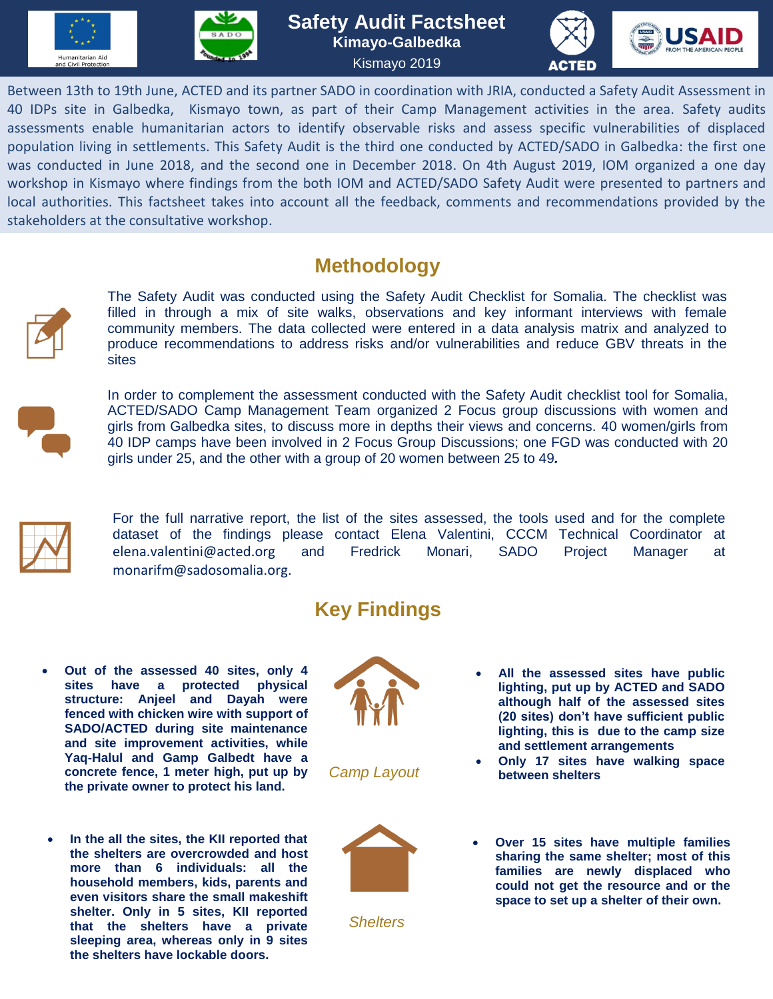





Between 13th to 19th June, ACTED and its partner SADO in coordination with JRIA, conducted a Safety Audit Assessment in 40 IDPs site in Galbedka, Kismayo town, as part of their Camp Management activities in the area. Safety audits assessments enable humanitarian actors to identify observable risks and assess specific vulnerabilities of displaced population living in settlements. This Safety Audit is the third one conducted by ACTED/SADO in Galbedka: the first one was conducted in June 2018, and the second one in December 2018. On 4th August 2019, IOM organized a one day workshop in Kismayo where findings from the both IOM and ACTED/SADO Safety Audit were presented to partners and local authorities. This factsheet takes into account all the feedback, comments and recommendations provided by the stakeholders at the consultative workshop.

## **Methodology**



The Safety Audit was conducted using the Safety Audit Checklist for Somalia. The checklist was filled in through a mix of site walks, observations and key informant interviews with female community members. The data collected were entered in a data analysis matrix and analyzed to produce recommendations to address risks and/or vulnerabilities and reduce GBV threats in the sites



In order to complement the assessment conducted with the Safety Audit checklist tool for Somalia, ACTED/SADO Camp Management Team organized 2 Focus group discussions with women and girls from Galbedka sites, to discuss more in depths their views and concerns. 40 women/girls from 40 IDP camps have been involved in 2 Focus Group Discussions; one FGD was conducted with 20 girls under 25, and the other with a group of 20 women between 25 to 49*.*



For the full narrative report, the list of the sites assessed, the tools used and for the complete dataset of the findings please contact Elena Valentini, CCCM Technical Coordinator at [elena.valentini@acted.org](mailto:elena.valentini@acted.org) and Fredrick Monari, SADO Project Manager at [monarifm@sadosomalia.org.](mailto:monarifm@sadosomalia.org)

## **Key Findings**

- **Out of the assessed 40 sites, only 4 sites have a protected physical structure: Anjeel and Dayah were fenced with chicken wire with support of SADO/ACTED during site maintenance and site improvement activities, while Yaq-Halul and Gamp Galbedt have a concrete fence, 1 meter high, put up by the private owner to protect his land.**
- **In the all the sites, the KII reported that the shelters are overcrowded and host more than 6 individuals: all the household members, kids, parents and even visitors share the small makeshift shelter. Only in 5 sites, KII reported that the shelters have a private sleeping area, whereas only in 9 sites the shelters have lockable doors.**



*Camp Layout* 



*Shelters*

- **All the assessed sites have public lighting, put up by ACTED and SADO although half of the assessed sites (20 sites) don't have sufficient public lighting, this is due to the camp size and settlement arrangements**
- **Only 17 sites have walking space between shelters**
- **Over 15 sites have multiple families sharing the same shelter; most of this families are newly displaced who could not get the resource and or the space to set up a shelter of their own.**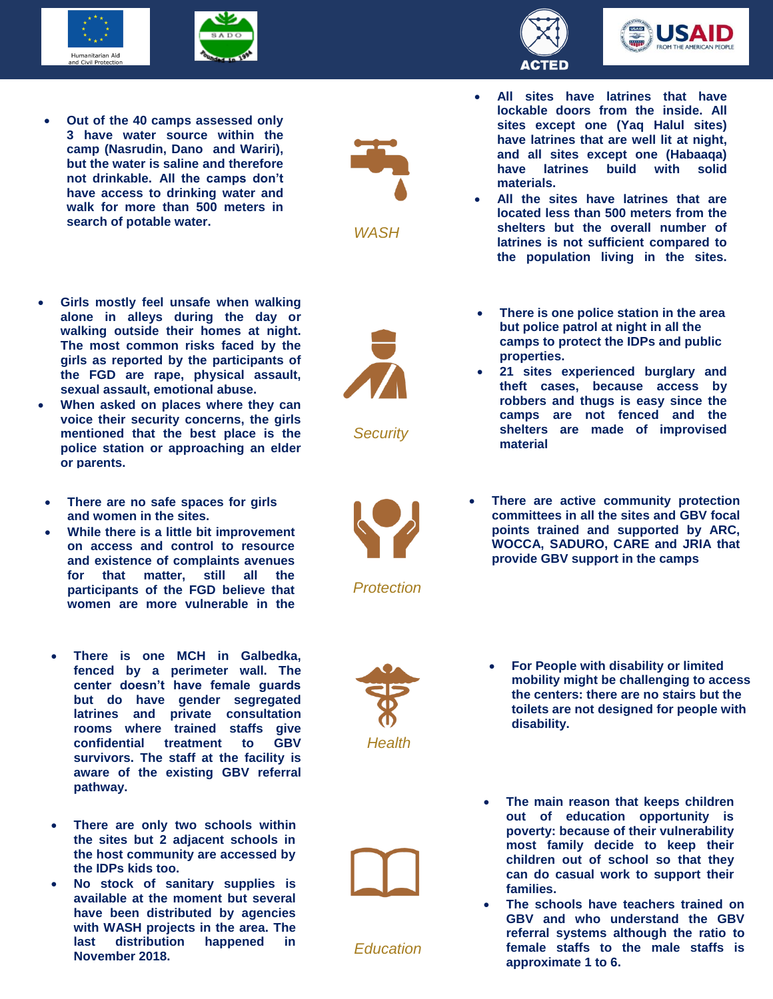





- **Girls mostly feel unsafe when walking alone in alleys during the day or walking outside their homes at night. The most common risks faced by the girls as reported by the participants of the FGD are rape, physical assault, sexual assault, emotional abuse.**
- **When asked on places where they can voice their security concerns, the girls mentioned that the best place is the police station or approaching an elder or parents.**
- **There are no safe spaces for girls and women in the sites.**
- **While there is a little bit improvement on access and control to resource and existence of complaints avenues for that matter, still all the participants of the FGD believe that women are more vulnerable in the**
- **There is one MCH in Galbedka, fenced by a perimeter wall. The center doesn't have female guards but do have gender segregated latrines and private consultation rooms where trained staffs give confidential treatment to GBV survivors. The staff at the facility is aware of the existing GBV referral pathway.**
- **There are only two schools within the sites but 2 adjacent schools in the host community are accessed by the IDPs kids too.**
- **No stock of sanitary supplies is available at the moment but several have been distributed by agencies with WASH projects in the area. The last distribution happened in November 2018.**



```
WASH
```




- **All sites have latrines that have lockable doors from the inside. All sites except one (Yaq Halul sites) have latrines that are well lit at night, and all sites except one (Habaaqa) have latrines build with solid materials.**
- **All the sites have latrines that are located less than 500 meters from the shelters but the overall number of latrines is not sufficient compared to the population living in the sites.**



*Security* 

- **There is one police station in the area but police patrol at night in all the camps to protect the IDPs and public properties.**  There is one police station in the a
- **21 sites experienced burglary and theft cases, because access by robbers and thugs is easy since the camps are not fenced and the shelters are made of improvised material**



*Protection*

 **There are active community protection committees in all the sites and GBV focal points trained and supported by ARC, WOCCA, SADURO, CARE and JRIA that provide GBV support in the camps** 





*Education*

- **For People with disability or limited mobility might be challenging to access the centers: there are no stairs but the toilets are not designed for people with disability.**
- **The main reason that keeps children out of education opportunity is poverty: because of their vulnerability most family decide to keep their children out of school so that they can do casual work to support their families.**
- **The schools have teachers trained on GBV and who understand the GBV referral systems although the ratio to female staffs to the male staffs is approximate 1 to 6.**